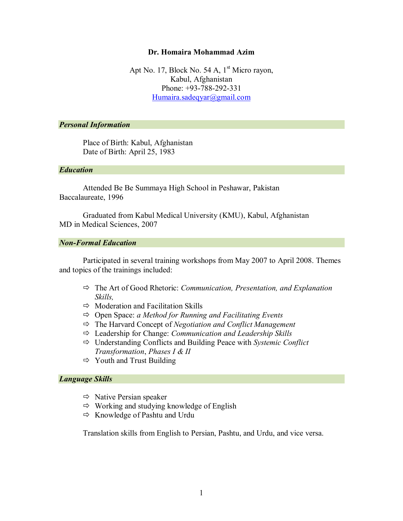### **Dr. Homaira Mohammad Azim**

Apt No. 17, Block No. 54 A,  $1<sup>st</sup>$  Micro rayon, Kabul, Afghanistan Phone: +93-788-292-331 [Humaira.sadeqyar@gmail.com](mailto:Humaira.sadeqyar@gmail.com)

## *Personal Information*

Place of Birth: Kabul, Afghanistan Date of Birth: April 25, 1983

### *Education*

Attended Be Be Summaya High School in Peshawar, Pakistan Baccalaureate, 1996

Graduated from Kabul Medical University (KMU), Kabul, Afghanistan MD in Medical Sciences, 2007

## *Non-Formal Education*

Participated in several training workshops from May 2007 to April 2008. Themes and topics of the trainings included:

- The Art of Good Rhetoric: *Communication, Presentation, and Explanation Skills,*
- $\Rightarrow$  Moderation and Facilitation Skills
- Open Space: *a Method for Running and Facilitating Events*
- The Harvard Concept of *Negotiation and Conflict Management*
- Leadership for Change: *Communication and Leadership Skills*
- Understanding Conflicts and Building Peace with *Systemic Conflict Transformation*, *Phases I & II*
- $\Rightarrow$  Youth and Trust Building

#### *Language Skills*

- $\Rightarrow$  Native Persian speaker
- $\Rightarrow$  Working and studying knowledge of English
- $\Rightarrow$  Knowledge of Pashtu and Urdu

Translation skills from English to Persian, Pashtu, and Urdu, and vice versa.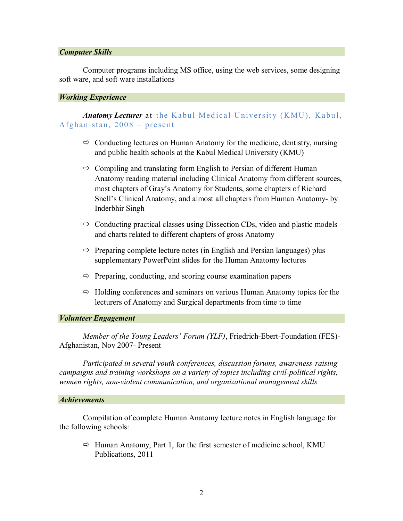#### *Computer Skills*

Computer programs including MS office, using the web services, some designing soft ware, and soft ware installations

#### *Working Experience*

*Anatomy Lecturer* at the Kabul Medical University (KMU), Kabul, Afghanistan,  $2008 -$  present

- $\Rightarrow$  Conducting lectures on Human Anatomy for the medicine, dentistry, nursing and public health schools at the Kabul Medical University (KMU)
- $\Rightarrow$  Compiling and translating form English to Persian of different Human Anatomy reading material including Clinical Anatomy from different sources, most chapters of Gray's Anatomy for Students, some chapters of Richard Snell's Clinical Anatomy, and almost all chapters from Human Anatomy- by Inderbhir Singh
- $\Rightarrow$  Conducting practical classes using Dissection CDs, video and plastic models and charts related to different chapters of gross Anatomy
- $\Rightarrow$  Preparing complete lecture notes (in English and Persian languages) plus supplementary PowerPoint slides for the Human Anatomy lectures
- $\Rightarrow$  Preparing, conducting, and scoring course examination papers
- $\Rightarrow$  Holding conferences and seminars on various Human Anatomy topics for the lecturers of Anatomy and Surgical departments from time to time

## *Volunteer Engagement*

*Member of the Young Leaders' Forum (YLF)*, Friedrich-Ebert-Foundation (FES)- Afghanistan, Nov 2007- Present

*Participated in several youth conferences, discussion forums, awareness-raising campaigns and training workshops on a variety of topics including civil-political rights, women rights, non-violent communication, and organizational management skills*

#### *Achievements*

Compilation of complete Human Anatomy lecture notes in English language for the following schools:

 $\Rightarrow$  Human Anatomy, Part 1, for the first semester of medicine school, KMU Publications, 2011